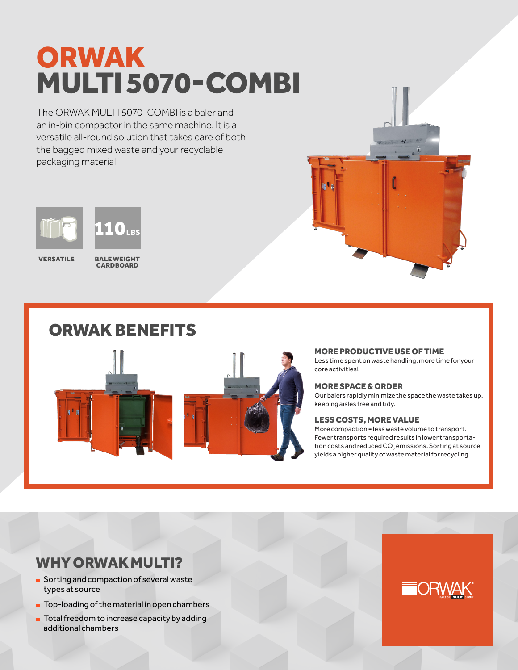# ORWAK MULTI 5070-COMBI

The ORWAK MULTI 5070-COMBI is a baler and an in-bin compactor in the same machine. It is a versatile all-round solution that takes care of both the bagged mixed waste and your recyclable packaging material.



**VERSATILE** 

BALE WEIGHT **CARDROARD** 

# ORWAK BENEFITS



MORE PRODUCTIVE USE OF TIME

Less time spent on waste handling, more time for your core activities!

## MORE SPACE & ORDER

Our balers rapidly minimize the space the waste takes up, keeping aisles free and tidy.

## LESS COSTS, MORE VALUE

More compaction = less waste volume to transport. Fewer transports required results in lower transportation costs and reduced CO $_{\tiny 2}$  emissions. Sorting at source yields a higher quality of waste material for recycling.

# WHY ORWAK MULTI?

- **Sorting and compaction of several waste** types at source
- **Top-loading of the material in open chambers**
- **Total freedom to increase capacity by adding** additional chambers